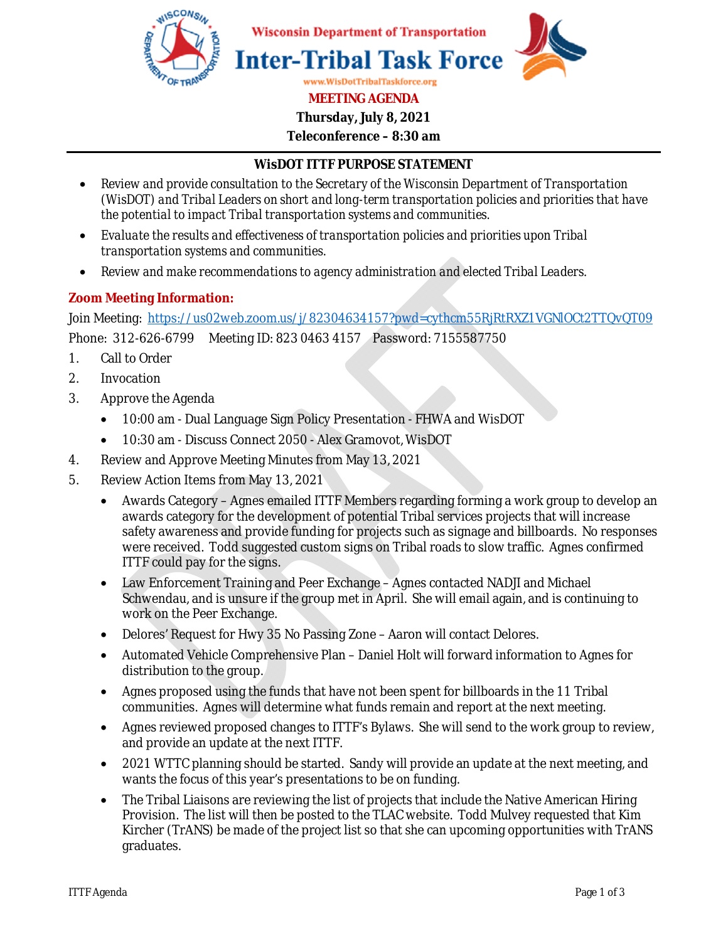

**Thursday, July 8, 2021** 

**Teleconference – 8:30 am** 

## **WisDOT ITTF PURPOSE STATEMENT**

- *Review and provide consultation to the Secretary of the Wisconsin Department of Transportation (WisDOT) and Tribal Leaders on short and long-term transportation policies and priorities that have the potential to impact Tribal transportation systems and communities.*
- *Evaluate the results and effectiveness of transportation policies and priorities upon Tribal transportation systems and communities.*
- *Review and make recommendations to agency administration and elected Tribal Leaders.*

## **Zoom Meeting Information:**

Join Meeting: https://us02web.zoom.us/j/82304634157?pwd=cythcm55RjRtRXZ1VGNlOCt2TTQvQT09

Phone: 312-626-6799 Meeting ID: 823 0463 4157 Password: 7155587750

- 1. Call to Order
- 2. Invocation
- 3. Approve the Agenda
	- 10:00 am Dual Language Sign Policy Presentation FHWA and WisDOT
	- 10:30 am Discuss Connect 2050 Alex Gramovot, WisDOT
- 4. Review and Approve Meeting Minutes from May 13, 2021
- 5. Review Action Items from May 13, 2021
	- Awards Category Agnes emailed ITTF Members regarding forming a work group to develop an awards category for the development of potential Tribal services projects that will increase safety awareness and provide funding for projects such as signage and billboards. No responses were received. Todd suggested custom signs on Tribal roads to slow traffic. Agnes confirmed ITTF could pay for the signs.
	- Law Enforcement Training and Peer Exchange Agnes contacted NADJI and Michael Schwendau, and is unsure if the group met in April. She will email again, and is continuing to work on the Peer Exchange.
	- Delores' Request for Hwy 35 No Passing Zone Aaron will contact Delores.
	- Automated Vehicle Comprehensive Plan Daniel Holt will forward information to Agnes for distribution to the group.
	- Agnes proposed using the funds that have not been spent for billboards in the 11 Tribal communities. Agnes will determine what funds remain and report at the next meeting.
	- Agnes reviewed proposed changes to ITTF's Bylaws. She will send to the work group to review, and provide an update at the next ITTF.
	- 2021 WTTC planning should be started. Sandy will provide an update at the next meeting, and wants the focus of this year's presentations to be on funding.
	- The Tribal Liaisons are reviewing the list of projects that include the Native American Hiring Provision. The list will then be posted to the TLAC website. Todd Mulvey requested that Kim Kircher (TrANS) be made of the project list so that she can upcoming opportunities with TrANS graduates.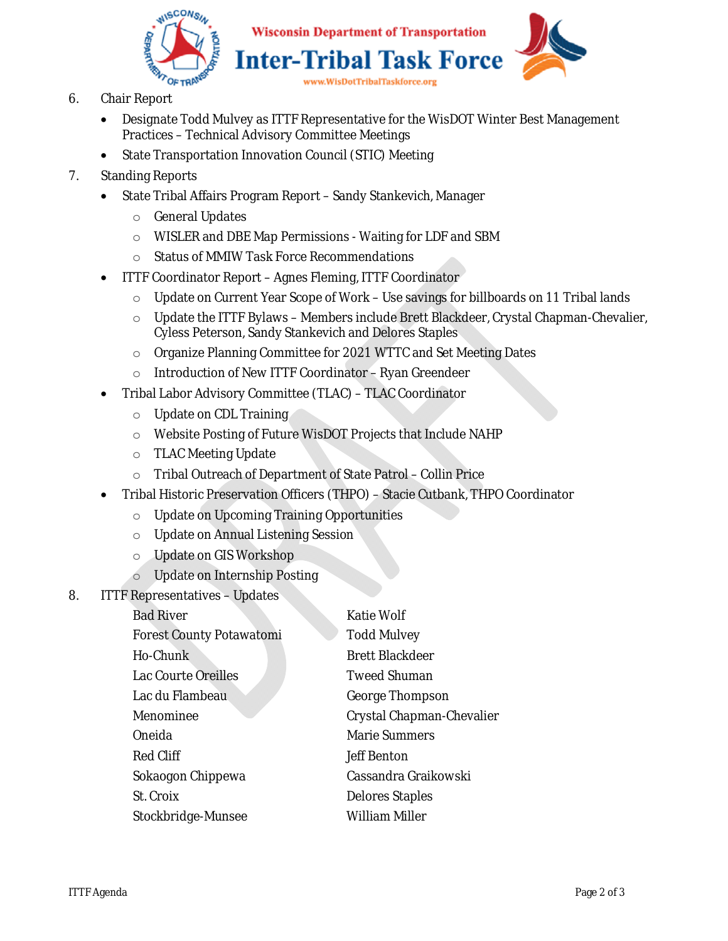

- 6. Chair Report
	- Designate Todd Mulvey as ITTF Representative for the WisDOT Winter Best Management Practices – Technical Advisory Committee Meetings
	- State Transportation Innovation Council (STIC) Meeting
- 7. Standing Reports
	- State Tribal Affairs Program Report Sandy Stankevich, Manager
		- o General Updates
		- o WISLER and DBE Map Permissions Waiting for LDF and SBM
		- o Status of MMIW Task Force Recommendations
	- ITTF Coordinator Report Agnes Fleming, ITTF Coordinator
		- o Update on Current Year Scope of Work Use savings for billboards on 11 Tribal lands
		- $\circ$  Update the ITTF Bylaws Members include Brett Blackdeer, Crystal Chapman-Chevalier, Cyless Peterson, Sandy Stankevich and Delores Staples
		- o Organize Planning Committee for 2021 WTTC and Set Meeting Dates
		- o Introduction of New ITTF Coordinator Ryan Greendeer
	- Tribal Labor Advisory Committee (TLAC) TLAC Coordinator
		- o Update on CDL Training
		- o Website Posting of Future WisDOT Projects that Include NAHP
		- o TLAC Meeting Update
		- o Tribal Outreach of Department of State Patrol Collin Price
	- Tribal Historic Preservation Officers (THPO) Stacie Cutbank, THPO Coordinator
		- o Update on Upcoming Training Opportunities
		- o Update on Annual Listening Session
		- o Update on GIS Workshop
		- o Update on Internship Posting
- 8. ITTF Representatives Updates

| <b>Bad River</b>                | <b>Katie Wolf</b>         |
|---------------------------------|---------------------------|
| <b>Forest County Potawatomi</b> | <b>Todd Mulvey</b>        |
| Ho-Chunk                        | <b>Brett Blackdeer</b>    |
| Lac Courte Oreilles             | <b>Tweed Shuman</b>       |
| Lac du Flambeau                 | <b>George Thompson</b>    |
| Menominee                       | Crystal Chapman-Chevalier |
| Oneida                          | <b>Marie Summers</b>      |
| Red Cliff                       | <b>Jeff Benton</b>        |
| Sokaogon Chippewa               | Cassandra Graikowski      |
| St. Croix                       | <b>Delores Staples</b>    |
| Stockbridge-Munsee              | William Miller            |